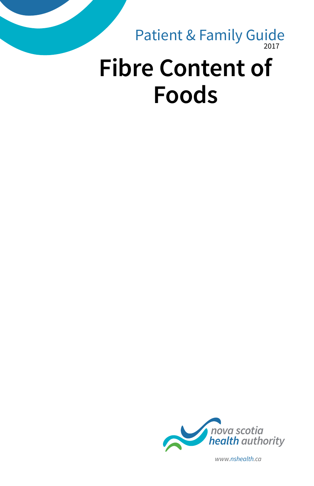# 2017 **Fibre Content of Foods** Patient & Family Guide



*www.nshealth.ca*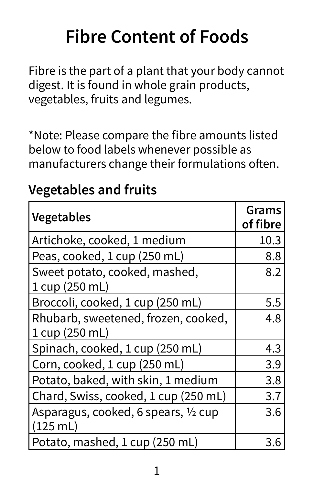# **Fibre Content of Foods**

Fibre is the part of a plant that your body cannot digest. It is found in whole grain products, vegetables, fruits and legumes.

\*Note: Please compare the fibre amounts listed below to food labels whenever possible as manufacturers change their formulations often.

| <b>Vegetables</b>                                     | Grams<br>of fibre |
|-------------------------------------------------------|-------------------|
| Artichoke, cooked, 1 medium                           | 10.3              |
| Peas, cooked, 1 cup (250 mL)                          | 8.8               |
| Sweet potato, cooked, mashed,<br>1 cup (250 mL)       | 8.2               |
| Broccoli, cooked, 1 cup (250 mL)                      | 5.5               |
| Rhubarb, sweetened, frozen, cooked,<br>1 cup (250 mL) | 4.8               |
| Spinach, cooked, 1 cup (250 mL)                       | 4.3               |
| Corn, cooked, 1 cup (250 mL)                          | 3.9               |
| Potato, baked, with skin, 1 medium                    | 3.8               |
| Chard, Swiss, cooked, 1 cup (250 mL)                  | 3.7               |
| Asparagus, cooked, 6 spears, 1/2 cup<br>(125 mL)      | 3.6               |
| Potato, mashed, 1 cup (250 mL)                        | 3.6               |

## **Vegetables and fruits**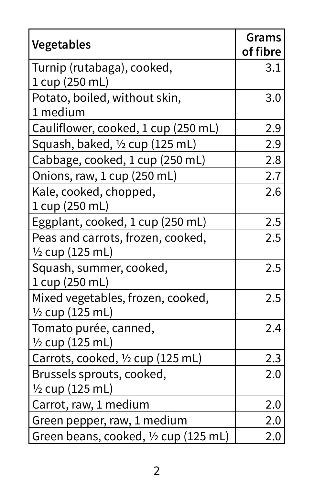| Vegetables                                                      | Grams<br>of fibre |
|-----------------------------------------------------------------|-------------------|
| Turnip (rutabaga), cooked,<br>1 cup (250 mL)                    | 3.1               |
| Potato, boiled, without skin,<br>1 medium                       | 3.0               |
| Cauliflower, cooked, 1 cup (250 mL)                             | 2.9               |
| Squash, baked, 1/2 cup (125 mL)                                 | 2.9               |
| Cabbage, cooked, 1 cup (250 mL)                                 | 2.8               |
| Onions, raw, 1 cup (250 mL)                                     | 2.7               |
| Kale, cooked, chopped,<br>1 cup (250 mL)                        | 2.6               |
| Eggplant, cooked, 1 cup (250 mL)                                | 2.5               |
| Peas and carrots, frozen, cooked,<br>$\frac{1}{2}$ cup (125 mL) | 2.5               |
| Squash, summer, cooked,<br>1 cup (250 mL)                       | 2.5               |
| Mixed vegetables, frozen, cooked,<br>$\frac{1}{2}$ cup (125 mL) | 2.5               |
| Tomato purée, canned,<br>1/2 cup (125 mL)                       | 2.4               |
| Carrots, cooked, 1/2 cup (125 mL)                               | 2.3               |
| Brussels sprouts, cooked,<br>$\frac{1}{2}$ cup (125 mL)         | 2.0               |
| Carrot, raw, 1 medium                                           | 2.0               |
| Green pepper, raw, 1 medium                                     | 2.0               |
| Green beans, cooked, ½ cup (125 mL)                             | 2.0               |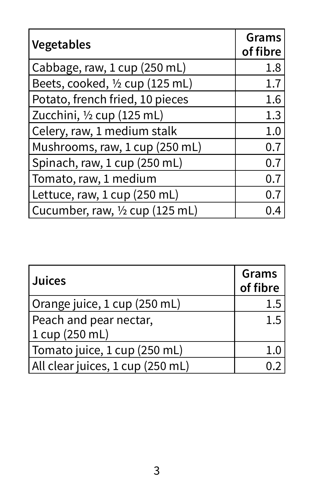| Vegetables                      | Grams<br>of fibre |
|---------------------------------|-------------------|
| Cabbage, raw, 1 cup (250 mL)    | 1.8               |
| Beets, cooked, 1/2 cup (125 mL) | 1.7               |
| Potato, french fried, 10 pieces | 1.6               |
| Zucchini, 1/2 cup (125 mL)      | 1.3               |
| Celery, raw, 1 medium stalk     | 1.0               |
| Mushrooms, raw, 1 cup (250 mL)  | 0.7               |
| Spinach, raw, 1 cup (250 mL)    | 0.7               |
| Tomato, raw, 1 medium           | 0.7               |
| Lettuce, raw, 1 cup (250 mL)    | 0.7               |
| Cucumber, raw, 1/2 cup (125 mL) | 0.4               |

| <b>Juices</b>                    | Grams<br>of fibre |
|----------------------------------|-------------------|
| Orange juice, 1 cup (250 mL)     | 1.5               |
| Peach and pear nectar,           | 1.5               |
| 1 cup (250 mL)                   |                   |
| Tomato juice, 1 cup (250 mL)     | 1.0               |
| All clear juices, 1 cup (250 mL) |                   |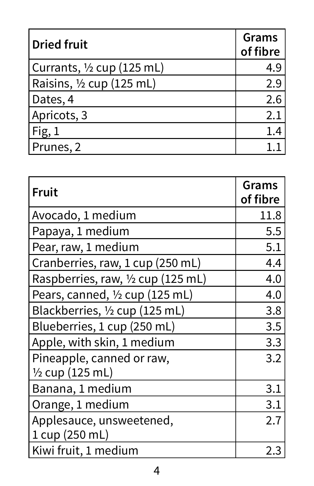| <b>Dried fruit</b>                   | <b>Grams</b><br>of fibre |
|--------------------------------------|--------------------------|
| Currants, $\frac{1}{2}$ cup (125 mL) | 4.9                      |
| Raisins, $\frac{1}{2}$ cup (125 mL)  | 2.9                      |
| Dates, 4                             | 2.6                      |
| Apricots, 3                          | 2.1                      |
| Fig. 1                               | 1.4                      |
| Prunes, 2                            |                          |

| Fruit                                      | Grams<br>of fibre |
|--------------------------------------------|-------------------|
| Avocado, 1 medium                          | 11.8              |
| Papaya, 1 medium                           | 5.5               |
| Pear, raw, 1 medium                        | 5.1               |
| Cranberries, raw, 1 cup (250 mL)           | 4.4               |
| Raspberries, raw, 1/2 cup (125 mL)         | 4.0               |
| Pears, canned, 1/2 cup (125 mL)            | 4.0               |
| Blackberries, 1/2 cup (125 mL)             | 3.8               |
| Blueberries, 1 cup (250 mL)                | 3.5               |
| Apple, with skin, 1 medium                 | 3.3               |
| Pineapple, canned or raw,                  | 3.2               |
| $\frac{1}{2}$ cup (125 mL)                 |                   |
| Banana, 1 medium                           | 3.1               |
| Orange, 1 medium                           | 3.1               |
| Applesauce, unsweetened,<br>1 cup (250 mL) | 2.7               |
| Kiwi fruit, 1 medium                       | 2.3               |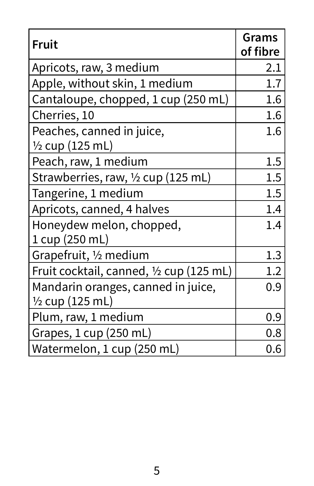| <b>Fruit</b>                                                     | Grams<br>of fibre |
|------------------------------------------------------------------|-------------------|
| Apricots, raw, 3 medium                                          | 2.1               |
| Apple, without skin, 1 medium                                    | 1.7               |
| Cantaloupe, chopped, 1 cup (250 mL)                              | 1.6               |
| Cherries, 10                                                     | 1.6               |
| Peaches, canned in juice,                                        | 1.6               |
| $\frac{1}{2}$ cup (125 mL)                                       |                   |
| Peach, raw, 1 medium                                             | 1.5               |
| Strawberries, raw, 1/2 cup (125 mL)                              | 1.5               |
| Tangerine, 1 medium                                              | 1.5               |
| Apricots, canned, 4 halves                                       | 1.4               |
| Honeydew melon, chopped,<br>1 cup (250 mL)                       | 1.4               |
| Grapefruit, 1/2 medium                                           | 1.3               |
| Fruit cocktail, canned, 1/2 cup (125 mL)                         | 1.2               |
| Mandarin oranges, canned in juice,<br>$\frac{1}{2}$ cup (125 mL) | 0.9               |
| Plum, raw, 1 medium                                              | 0.9               |
| Grapes, 1 cup (250 mL)                                           | 0.8               |
| Watermelon, 1 cup (250 mL)                                       | 0.6               |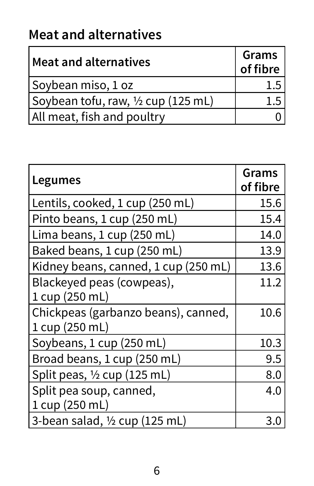# **Meat and alternatives**

| Meat and alternatives             | Grams<br>of fibre |
|-----------------------------------|-------------------|
| Soybean miso, 1 oz                | 1.5               |
| Soybean tofu, raw, ½ cup (125 mL) | 1.5               |
| All meat, fish and poultry        |                   |

| Legumes                                               | Grams<br>of fibre |
|-------------------------------------------------------|-------------------|
| Lentils, cooked, 1 cup (250 mL)                       | 15.6              |
| Pinto beans, 1 cup (250 mL)                           | 15.4              |
| Lima beans, 1 cup (250 mL)                            | 14.0              |
| Baked beans, 1 cup (250 mL)                           | 13.9              |
| Kidney beans, canned, 1 cup (250 mL)                  | 13.6              |
| Blackeyed peas (cowpeas),<br>1 cup (250 mL)           | 11.2              |
| Chickpeas (garbanzo beans), canned,<br>1 cup (250 mL) | 10.6              |
| Soybeans, 1 cup (250 mL)                              | 10.3              |
| Broad beans, 1 cup (250 mL)                           | 9.5               |
| Split peas, $\frac{1}{2}$ cup (125 mL)                | 8.0               |
| Split pea soup, canned,<br>1 cup (250 mL)             | 4.0               |
| 3-bean salad, $\frac{1}{2}$ cup (125 mL)              | 3.0               |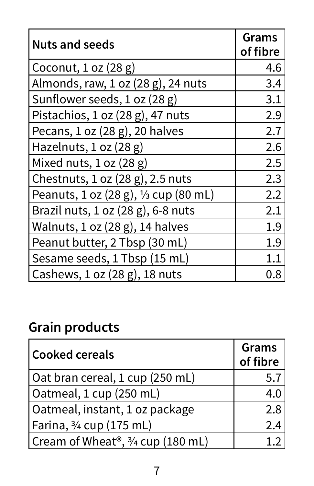| <b>Nuts and seeds</b>                 | Grams<br>of fibre |
|---------------------------------------|-------------------|
| Coconut, $1$ oz $(28 g)$              | 4.6               |
| Almonds, raw, 1 oz (28 g), 24 nuts    | 3.4               |
| Sunflower seeds, 1 oz (28 g)          | 3.1               |
| Pistachios, $1$ oz $(28 g)$ , 47 nuts | 2.9               |
| Pecans, $1 oz (28 g)$ , $20 halves$   | 2.7               |
| Hazelnuts, $1 oz (28 g)$              | 2.6               |
| Mixed nuts, $1 oz (28 g)$             | 2.5               |
| Chestnuts, 1 oz (28 g), 2.5 nuts      | 2.3               |
| Peanuts, 1 oz (28 g), 1/3 cup (80 mL) | 2.2               |
| Brazil nuts, 1 oz (28 g), 6-8 nuts    | 2.1               |
| Walnuts, $1 oz (28 g)$ , 14 halves    | 1.9               |
| Peanut butter, 2 Tbsp (30 mL)         | 1.9               |
| Sesame seeds, 1 Tbsp (15 mL)          | $1.1\,$           |
| Cashews, 1 oz (28 g), 18 nuts         | 0.8               |

# **Grain products**

| Cooked cereals                              | Grams<br>of fibre |
|---------------------------------------------|-------------------|
| Oat bran cereal, 1 cup (250 mL)             | 5.7               |
| Oatmeal, 1 cup (250 mL)                     | 4.0               |
| Oatmeal, instant, 1 oz package              | 2.8               |
| Farina, ¾ cup (175 mL)                      | 2.4               |
| Cream of Wheat®, $\frac{3}{4}$ cup (180 mL) |                   |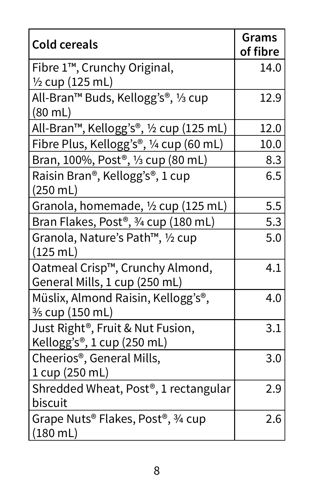| <b>Cold cereals</b>                                                                      | <b>Grams</b><br>of fibre |
|------------------------------------------------------------------------------------------|--------------------------|
| Fibre 1 <sup>™</sup> , Crunchy Original,                                                 | 14.0                     |
| $\frac{1}{2}$ cup (125 mL)                                                               |                          |
| All-Bran™ Buds, Kellogg's®, 1⁄3 cup<br>$(80 \text{ mL})$                                 | 12.9                     |
| All-Bran™, Kellogg's®, ½ cup (125 mL)                                                    | 12.0                     |
| Fibre Plus, Kellogg's®, 1/4 cup (60 mL)                                                  | 10.0                     |
| Bran, 100%, Post <sup>®</sup> , 1/ <sub>3</sub> cup (80 mL)                              | 8.3                      |
| Raisin Bran®, Kellogg's®, 1 cup<br>$(250 \text{ mL})$                                    | 6.5                      |
| Granola, homemade, $\frac{1}{2}$ cup (125 mL)                                            | 5.5                      |
| Bran Flakes, Post <sup>®</sup> , 3/4 cup (180 mL)                                        | 5.3                      |
| Granola, Nature's Path™, 1/2 cup<br>$(125 \text{ mL})$                                   | 5.0                      |
| Oatmeal Crisp™, Crunchy Almond,<br>General Mills, 1 cup (250 mL)                         | 4.1                      |
| Müslix, Almond Raisin, Kellogg's <sup>®</sup> ,<br>$\frac{3}{5}$ cup (150 mL)            | 4.0                      |
| Just Right <sup>®</sup> , Fruit & Nut Fusion,<br>Kellogg's <sup>®</sup> , 1 cup (250 mL) | 3.1                      |
| Cheerios <sup>®</sup> , General Mills,<br>1 cup (250 mL)                                 | 3.0                      |
| Shredded Wheat, Post <sup>®</sup> , 1 rectangular<br>biscuit                             | 2.9                      |
| Grape Nuts® Flakes, Post®, 3/4 cup<br>$(180 \text{ mL})$                                 | 2.6                      |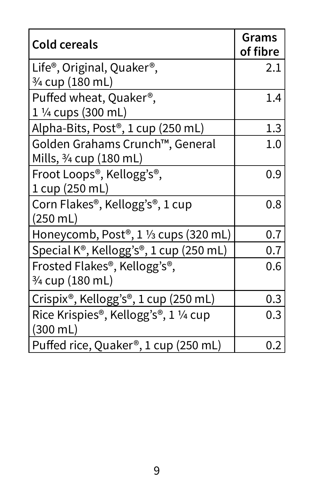| <b>Cold cereals</b>                                            | Grams<br>of fibre |
|----------------------------------------------------------------|-------------------|
| Life <sup>®</sup> , Original, Quaker <sup>®</sup> ,            | 2.1               |
| $\frac{3}{4}$ cup (180 mL)                                     |                   |
| Puffed wheat, Quaker <sup>®</sup> ,                            | 1.4               |
| 1 $\frac{1}{4}$ cups (300 mL)                                  |                   |
| Alpha-Bits, Post®, 1 cup (250 mL)                              | 1.3               |
| Golden Grahams Crunch™, General                                | 1.0               |
| Mills, $\frac{3}{4}$ cup (180 mL)                              |                   |
| Froot Loops <sup>®</sup> , Kellogg's <sup>®</sup> ,            | 0.9               |
| 1 cup (250 mL)                                                 |                   |
| Corn Flakes <sup>®</sup> , Kellogg's <sup>®</sup> , 1 cup      | 0.8               |
| $(250 \text{ mL})$                                             |                   |
| Honeycomb, Post <sup>®</sup> , 1 1/ <sub>3</sub> cups (320 mL) | 0.7               |
| Special K®, Kellogg's®, 1 cup (250 mL)                         | 0.7               |
| Frosted Flakes®, Kellogg's®,                                   | 0.6               |
| $\frac{3}{4}$ cup (180 mL)                                     |                   |
| Crispix®, Kellogg's®, 1 cup (250 mL)                           | 0.3               |
| Rice Krispies <sup>®</sup> , Kellogg's <sup>®</sup> , 1 ¼ cup  | 0.3               |
| $(300 \text{ mL})$                                             |                   |
| Puffed rice, Quaker®, 1 cup (250 mL)                           | 0.2               |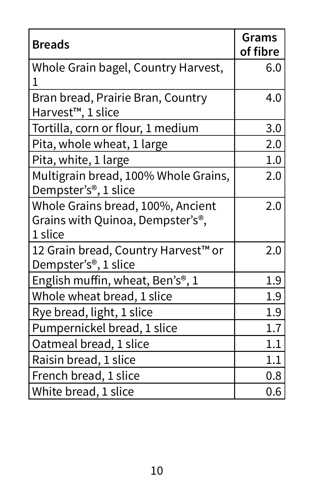| <b>Breads</b>                                                                                 | Grams<br>of fibre |
|-----------------------------------------------------------------------------------------------|-------------------|
| Whole Grain bagel, Country Harvest,                                                           | 6.0               |
| Bran bread, Prairie Bran, Country<br>Harvest <sup>™</sup> , 1 slice                           | 4.0               |
| Tortilla, corn or flour, 1 medium                                                             | 3.0               |
| Pita, whole wheat, 1 large                                                                    | 2.0               |
| Pita, white, 1 large                                                                          | 1.0               |
| Multigrain bread, 100% Whole Grains,<br>Dempster's <sup>®</sup> , 1 slice                     | 2.0               |
| Whole Grains bread, 100%, Ancient<br>Grains with Quinoa, Dempster's <sup>®</sup> ,<br>1 slice | 2.0               |
| 12 Grain bread, Country Harvest <sup>™</sup> or<br>Dempster's <sup>®</sup> , 1 slice          | 2.0               |
| English muffin, wheat, Ben's <sup>®</sup> , 1                                                 | 1.9               |
| Whole wheat bread, 1 slice                                                                    | 1.9               |
| Rye bread, light, 1 slice                                                                     | 1.9               |
| Pumpernickel bread, 1 slice                                                                   | 1.7               |
| Oatmeal bread, 1 slice                                                                        | 1.1               |
| Raisin bread, 1 slice                                                                         | 1.1               |
| French bread, 1 slice                                                                         | 0.8               |
| White bread, 1 slice                                                                          | 0.6               |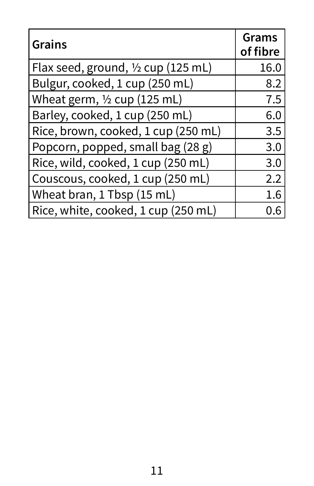| <b>Grains</b>                                 | <b>Grams</b><br>of fibre |
|-----------------------------------------------|--------------------------|
| Flax seed, ground, $\frac{1}{2}$ cup (125 mL) | 16.0                     |
| Bulgur, cooked, 1 cup (250 mL)                | 8.2                      |
| Wheat germ, $\frac{1}{2}$ cup (125 mL)        | 7.5                      |
| Barley, cooked, 1 cup (250 mL)                | 6.0                      |
| Rice, brown, cooked, 1 cup (250 mL)           | 3.5                      |
| Popcorn, popped, small bag (28 g)             | 3.0                      |
| Rice, wild, cooked, 1 cup (250 mL)            | 3.0                      |
| Couscous, cooked, 1 cup (250 mL)              | 2.2                      |
| Wheat bran, 1 Tbsp (15 mL)                    | 1.6                      |
| Rice, white, cooked, 1 cup (250 mL)           |                          |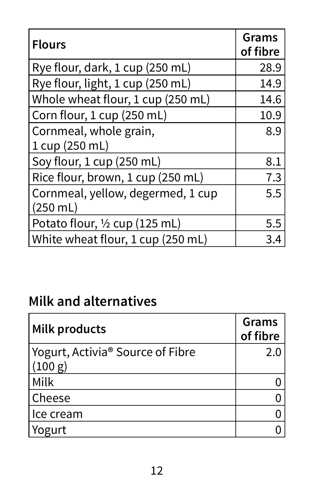| <b>Flours</b>                            | Grams<br>of fibre |
|------------------------------------------|-------------------|
| Rye flour, dark, 1 cup (250 mL)          | 28.9              |
| Rye flour, light, 1 cup (250 mL)         | 14.9              |
| Whole wheat flour, 1 cup (250 mL)        | 14.6              |
| Corn flour, 1 cup (250 mL)               | 10.9              |
| Cornmeal, whole grain,                   | 8.9               |
| 1 cup (250 mL)                           |                   |
| Soy flour, 1 cup (250 mL)                | 8.1               |
| Rice flour, brown, 1 cup (250 mL)        | 7.3               |
| Cornmeal, yellow, degermed, 1 cup        | 5.5               |
| $(250 \text{ mL})$                       |                   |
| Potato flour, $\frac{1}{2}$ cup (125 mL) | 5.5               |
| White wheat flour, 1 cup (250 mL)        | 3.4               |

#### **Milk and alternatives**

| Milk products                               | Grams<br>of fibre |
|---------------------------------------------|-------------------|
| Yogurt, Activia® Source of Fibre<br>(100 g) | 2.0               |
| Milk                                        |                   |
| Cheese                                      |                   |
| lce cream                                   |                   |
| Yogurt                                      |                   |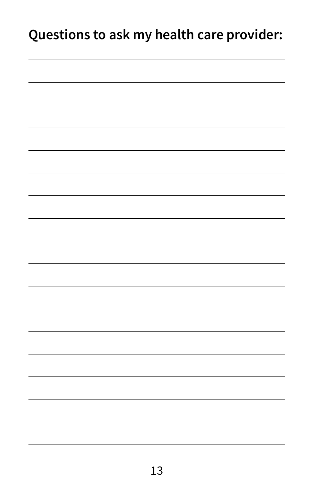### **Questions to ask my health care provider:**